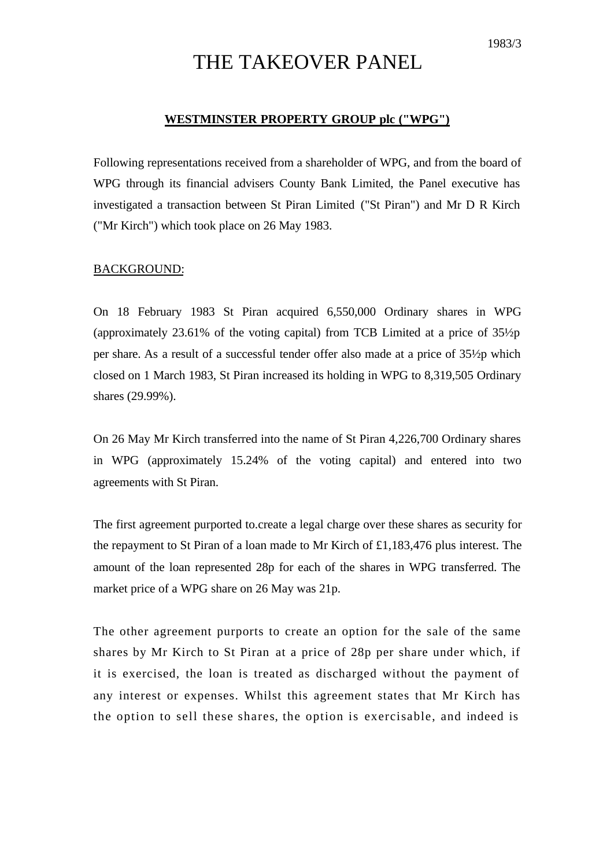# THE TAKEOVER PANEL

## **WESTMINSTER PROPERTY GROUP plc ("WPG")**

Following representations received from a shareholder of WPG, and from the board of WPG through its financial advisers County Bank Limited, the Panel executive has investigated a transaction between St Piran Limited ("St Piran") and Mr D R Kirch ("Mr Kirch") which took place on 26 May 1983.

## BACKGROUND:

On 18 February 1983 St Piran acquired 6,550,000 Ordinary shares in WPG (approximately 23.61% of the voting capital) from TCB Limited at a price of 35½p per share. As a result of a successful tender offer also made at a price of 35½p which closed on 1 March 1983, St Piran increased its holding in WPG to 8,319,505 Ordinary shares (29.99%).

On 26 May Mr Kirch transferred into the name of St Piran 4,226,700 Ordinary shares in WPG (approximately 15.24% of the voting capital) and entered into two agreements with St Piran.

The first agreement purported to.create a legal charge over these shares as security for the repayment to St Piran of a loan made to Mr Kirch of £1,183,476 plus interest. The amount of the loan represented 28p for each of the shares in WPG transferred. The market price of a WPG share on 26 May was 21p.

The other agreement purports to create an option for the sale of the same shares by Mr Kirch to St Piran at a price of 28p per share under which, if it is exercised, the loan is treated as discharged without the payment of any interest or expenses. Whilst this agreement states that Mr Kirch has the option to sell these shares, the option is exercisable, and indeed is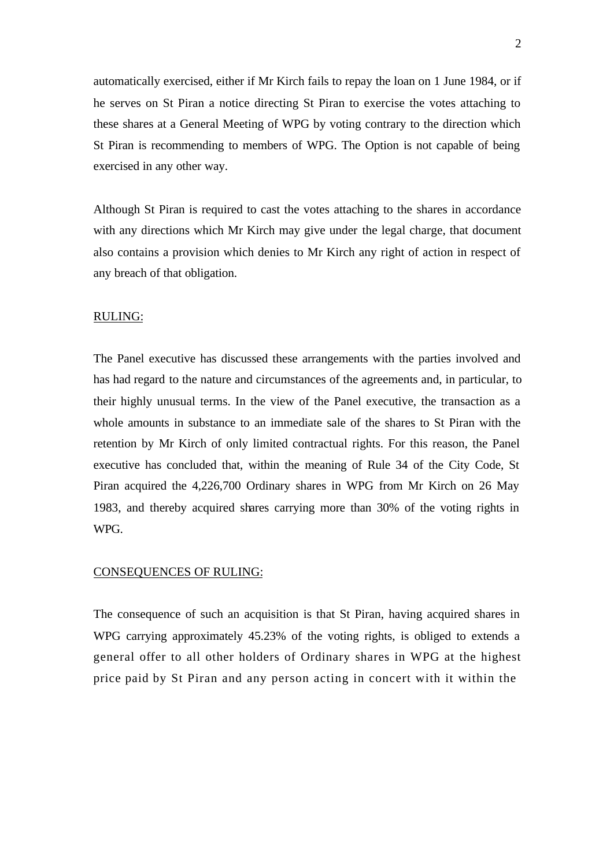automatically exercised, either if Mr Kirch fails to repay the loan on 1 June 1984, or if he serves on St Piran a notice directing St Piran to exercise the votes attaching to these shares at a General Meeting of WPG by voting contrary to the direction which St Piran is recommending to members of WPG. The Option is not capable of being exercised in any other way.

Although St Piran is required to cast the votes attaching to the shares in accordance with any directions which Mr Kirch may give under the legal charge, that document also contains a provision which denies to Mr Kirch any right of action in respect of any breach of that obligation.

#### RULING:

The Panel executive has discussed these arrangements with the parties involved and has had regard to the nature and circumstances of the agreements and, in particular, to their highly unusual terms. In the view of the Panel executive, the transaction as a whole amounts in substance to an immediate sale of the shares to St Piran with the retention by Mr Kirch of only limited contractual rights. For this reason, the Panel executive has concluded that, within the meaning of Rule 34 of the City Code, St Piran acquired the 4,226,700 Ordinary shares in WPG from Mr Kirch on 26 May 1983, and thereby acquired shares carrying more than 30% of the voting rights in WPG.

#### CONSEQUENCES OF RULING:

The consequence of such an acquisition is that St Piran, having acquired shares in WPG carrying approximately 45.23% of the voting rights, is obliged to extends a general offer to all other holders of Ordinary shares in WPG at the highest price paid by St Piran and any person acting in concert with it within the